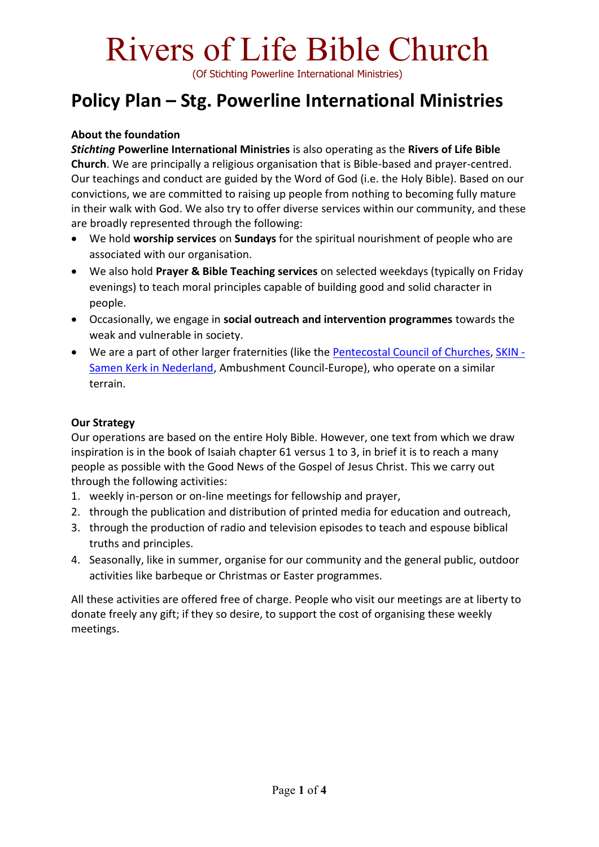(Of Stichting Powerline International Ministries)

# **Policy Plan – Stg. Powerline International Ministries**

# **About the foundation**

*Stichting* **Powerline International Ministries** is also operating as the **Rivers of Life Bible Church**. We are principally a religious organisation that is Bible-based and prayer-centred. Our teachings and conduct are guided by the Word of God (i.e. the Holy Bible). Based on our convictions, we are committed to raising up people from nothing to becoming fully mature in their walk with God. We also try to offer diverse services within our community, and these are broadly represented through the following:

- We hold **worship services** on **Sundays** for the spiritual nourishment of people who are associated with our organisation.
- We also hold **Prayer & Bible Teaching services** on selected weekdays (typically on Friday evenings) to teach moral principles capable of building good and solid character in people.
- Occasionally, we engage in **social outreach and intervention programmes** towards the weak and vulnerable in society.
- We are a part of other larger fraternities (like the [Pentecostal Council of Churches,](https://pccned.nl/) [SKIN -](https://skinkerken.wixsite.com/skin) [Samen Kerk in Nederland,](https://skinkerken.wixsite.com/skin) Ambushment Council-Europe), who operate on a similar terrain.

# **Our Strategy**

Our operations are based on the entire Holy Bible. However, one text from which we draw inspiration is in the book of Isaiah chapter 61 versus 1 to 3, in brief it is to reach a many people as possible with the Good News of the Gospel of Jesus Christ. This we carry out through the following activities:

- 1. weekly in-person or on-line meetings for fellowship and prayer,
- 2. through the publication and distribution of printed media for education and outreach,
- 3. through the production of radio and television episodes to teach and espouse biblical truths and principles.
- 4. Seasonally, like in summer, organise for our community and the general public, outdoor activities like barbeque or Christmas or Easter programmes.

All these activities are offered free of charge. People who visit our meetings are at liberty to donate freely any gift; if they so desire, to support the cost of organising these weekly meetings.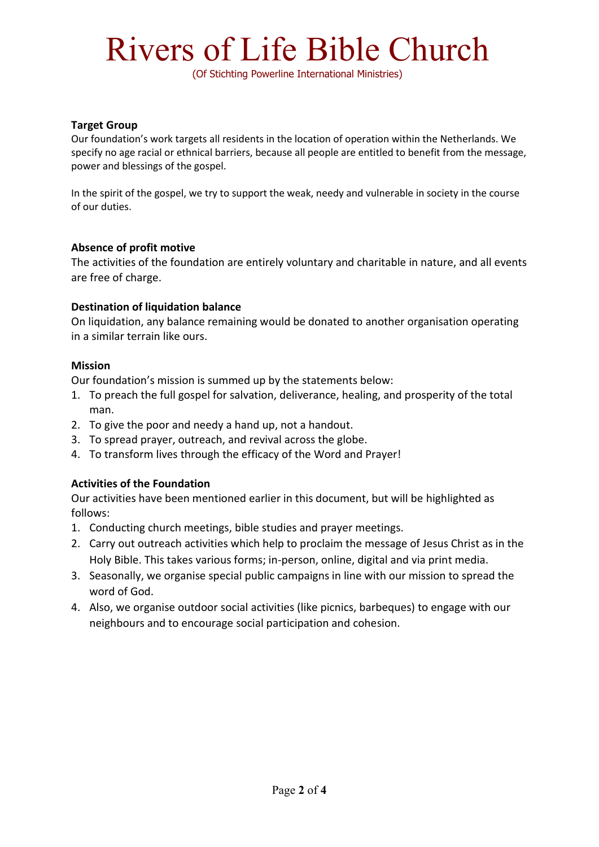(Of Stichting Powerline International Ministries)

#### **Target Group**

Our foundation's work targets all residents in the location of operation within the Netherlands. We specify no age racial or ethnical barriers, because all people are entitled to benefit from the message, power and blessings of the gospel.

In the spirit of the gospel, we try to support the weak, needy and vulnerable in society in the course of our duties.

#### **Absence of profit motive**

The activities of the foundation are entirely voluntary and charitable in nature, and all events are free of charge.

## **Destination of liquidation balance**

On liquidation, any balance remaining would be donated to another organisation operating in a similar terrain like ours.

#### **Mission**

Our foundation's mission is summed up by the statements below:

- 1. To preach the full gospel for salvation, deliverance, healing, and prosperity of the total man.
- 2. To give the poor and needy a hand up, not a handout.
- 3. To spread prayer, outreach, and revival across the globe.
- 4. To transform lives through the efficacy of the Word and Prayer!

## **Activities of the Foundation**

Our activities have been mentioned earlier in this document, but will be highlighted as follows:

- 1. Conducting church meetings, bible studies and prayer meetings.
- 2. Carry out outreach activities which help to proclaim the message of Jesus Christ as in the Holy Bible. This takes various forms; in-person, online, digital and via print media.
- 3. Seasonally, we organise special public campaigns in line with our mission to spread the word of God.
- 4. Also, we organise outdoor social activities (like picnics, barbeques) to engage with our neighbours and to encourage social participation and cohesion.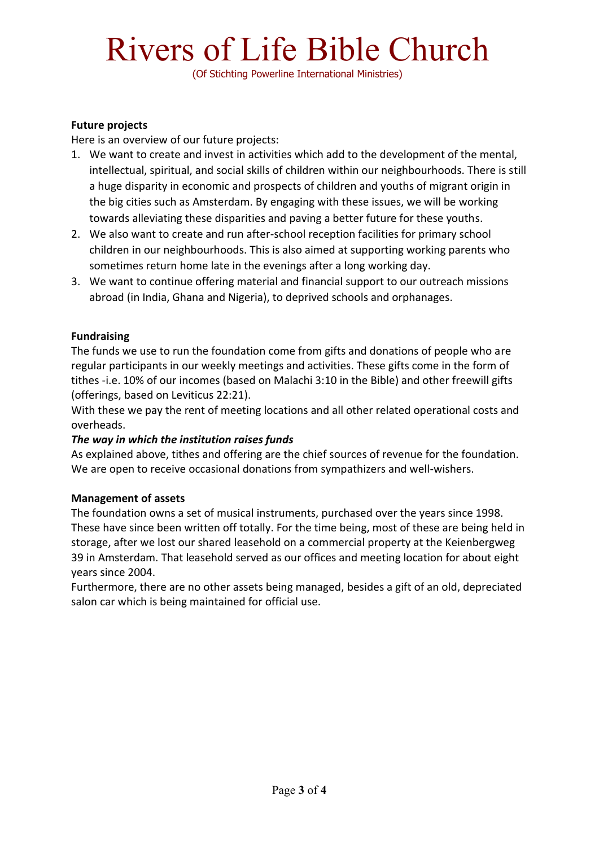(Of Stichting Powerline International Ministries)

# **Future projects**

Here is an overview of our future projects:

- 1. We want to create and invest in activities which add to the development of the mental, intellectual, spiritual, and social skills of children within our neighbourhoods. There is still a huge disparity in economic and prospects of children and youths of migrant origin in the big cities such as Amsterdam. By engaging with these issues, we will be working towards alleviating these disparities and paving a better future for these youths.
- 2. We also want to create and run after-school reception facilities for primary school children in our neighbourhoods. This is also aimed at supporting working parents who sometimes return home late in the evenings after a long working day.
- 3. We want to continue offering material and financial support to our outreach missions abroad (in India, Ghana and Nigeria), to deprived schools and orphanages.

# **Fundraising**

The funds we use to run the foundation come from gifts and donations of people who are regular participants in our weekly meetings and activities. These gifts come in the form of tithes -i.e. 10% of our incomes (based on Malachi 3:10 in the Bible) and other freewill gifts (offerings, based on Leviticus 22:21).

With these we pay the rent of meeting locations and all other related operational costs and overheads.

## *The way in which the institution raises funds*

As explained above, tithes and offering are the chief sources of revenue for the foundation. We are open to receive occasional donations from sympathizers and well-wishers.

## **Management of assets**

The foundation owns a set of musical instruments, purchased over the years since 1998. These have since been written off totally. For the time being, most of these are being held in storage, after we lost our shared leasehold on a commercial property at the Keienbergweg 39 in Amsterdam. That leasehold served as our offices and meeting location for about eight years since 2004.

Furthermore, there are no other assets being managed, besides a gift of an old, depreciated salon car which is being maintained for official use.